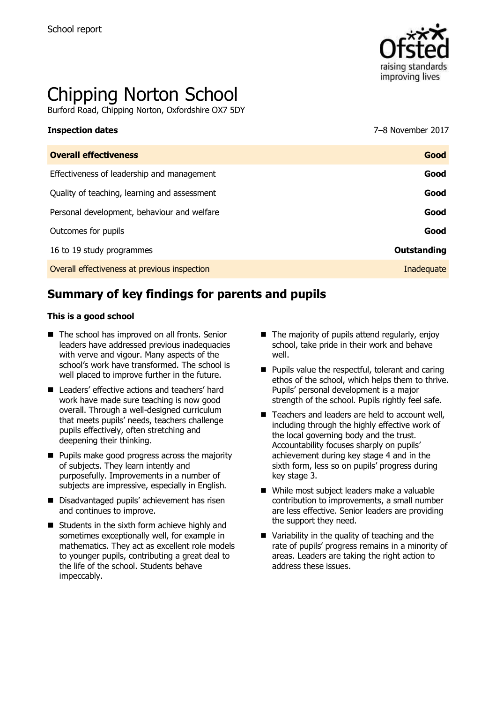

# Chipping Norton School

Burford Road, Chipping Norton, Oxfordshire OX7 5DY

## **Inspection dates** 7–8 November 2017

| <b>Overall effectiveness</b>                 | Good        |
|----------------------------------------------|-------------|
| Effectiveness of leadership and management   | Good        |
| Quality of teaching, learning and assessment | Good        |
| Personal development, behaviour and welfare  | Good        |
| Outcomes for pupils                          | Good        |
| 16 to 19 study programmes                    | Outstanding |
| Overall effectiveness at previous inspection | Inadequate  |
|                                              |             |

# **Summary of key findings for parents and pupils**

#### **This is a good school**

- The school has improved on all fronts. Senior leaders have addressed previous inadequacies with verve and vigour. Many aspects of the school's work have transformed. The school is well placed to improve further in the future.
- Leaders' effective actions and teachers' hard work have made sure teaching is now good overall. Through a well-designed curriculum that meets pupils' needs, teachers challenge pupils effectively, often stretching and deepening their thinking.
- **Pupils make good progress across the majority** of subjects. They learn intently and purposefully. Improvements in a number of subjects are impressive, especially in English.
- Disadvantaged pupils' achievement has risen and continues to improve.
- $\blacksquare$  Students in the sixth form achieve highly and sometimes exceptionally well, for example in mathematics. They act as excellent role models to younger pupils, contributing a great deal to the life of the school. Students behave impeccably.
- $\blacksquare$  The majority of pupils attend regularly, enjoy school, take pride in their work and behave well.
- **Pupils value the respectful, tolerant and caring** ethos of the school, which helps them to thrive. Pupils' personal development is a major strength of the school. Pupils rightly feel safe.
- Teachers and leaders are held to account well. including through the highly effective work of the local governing body and the trust. Accountability focuses sharply on pupils' achievement during key stage 4 and in the sixth form, less so on pupils' progress during key stage 3.
- While most subject leaders make a valuable contribution to improvements, a small number are less effective. Senior leaders are providing the support they need.
- Variability in the quality of teaching and the rate of pupils' progress remains in a minority of areas. Leaders are taking the right action to address these issues.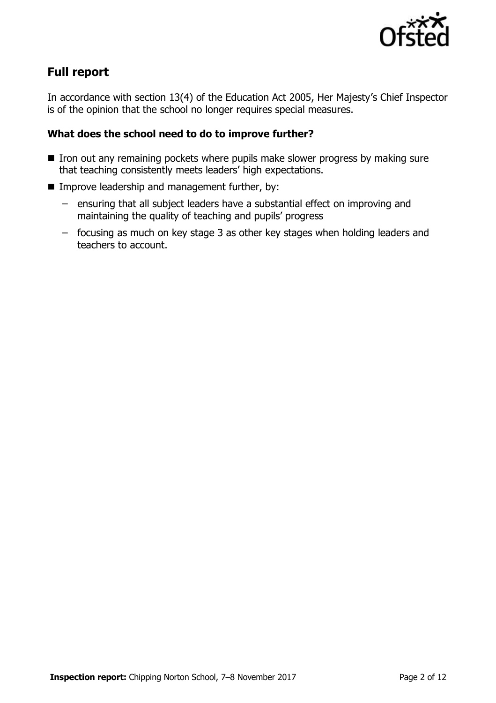

# **Full report**

In accordance with section 13(4) of the Education Act 2005, Her Majesty's Chief Inspector is of the opinion that the school no longer requires special measures.

### **What does the school need to do to improve further?**

- $\blacksquare$  Iron out any remaining pockets where pupils make slower progress by making sure that teaching consistently meets leaders' high expectations.
- **IMPROPE Improve leadership and management further, by:** 
	- ensuring that all subject leaders have a substantial effect on improving and maintaining the quality of teaching and pupils' progress
	- focusing as much on key stage 3 as other key stages when holding leaders and teachers to account.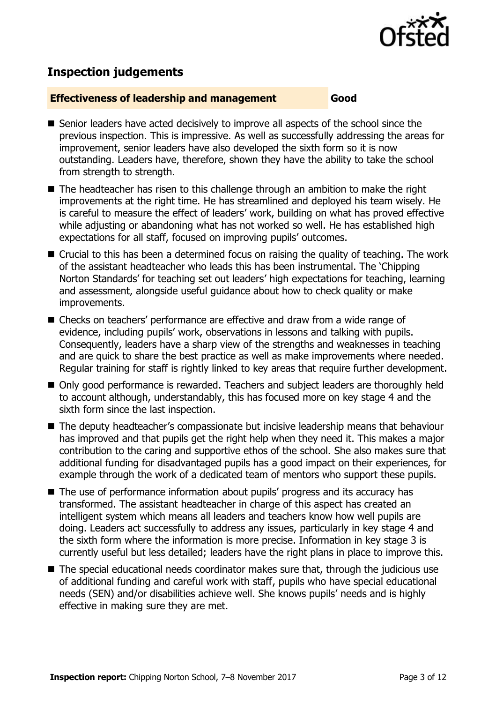

# **Inspection judgements**

#### **Effectiveness of leadership and management Good**

- Senior leaders have acted decisively to improve all aspects of the school since the previous inspection. This is impressive. As well as successfully addressing the areas for improvement, senior leaders have also developed the sixth form so it is now outstanding. Leaders have, therefore, shown they have the ability to take the school from strength to strength.
- The headteacher has risen to this challenge through an ambition to make the right improvements at the right time. He has streamlined and deployed his team wisely. He is careful to measure the effect of leaders' work, building on what has proved effective while adjusting or abandoning what has not worked so well. He has established high expectations for all staff, focused on improving pupils' outcomes.
- Crucial to this has been a determined focus on raising the quality of teaching. The work of the assistant headteacher who leads this has been instrumental. The 'Chipping Norton Standards' for teaching set out leaders' high expectations for teaching, learning and assessment, alongside useful guidance about how to check quality or make improvements.
- Checks on teachers' performance are effective and draw from a wide range of evidence, including pupils' work, observations in lessons and talking with pupils. Consequently, leaders have a sharp view of the strengths and weaknesses in teaching and are quick to share the best practice as well as make improvements where needed. Regular training for staff is rightly linked to key areas that require further development.
- Only good performance is rewarded. Teachers and subject leaders are thoroughly held to account although, understandably, this has focused more on key stage 4 and the sixth form since the last inspection.
- The deputy headteacher's compassionate but incisive leadership means that behaviour has improved and that pupils get the right help when they need it. This makes a major contribution to the caring and supportive ethos of the school. She also makes sure that additional funding for disadvantaged pupils has a good impact on their experiences, for example through the work of a dedicated team of mentors who support these pupils.
- The use of performance information about pupils' progress and its accuracy has transformed. The assistant headteacher in charge of this aspect has created an intelligent system which means all leaders and teachers know how well pupils are doing. Leaders act successfully to address any issues, particularly in key stage 4 and the sixth form where the information is more precise. Information in key stage 3 is currently useful but less detailed; leaders have the right plans in place to improve this.
- The special educational needs coordinator makes sure that, through the judicious use of additional funding and careful work with staff, pupils who have special educational needs (SEN) and/or disabilities achieve well. She knows pupils' needs and is highly effective in making sure they are met.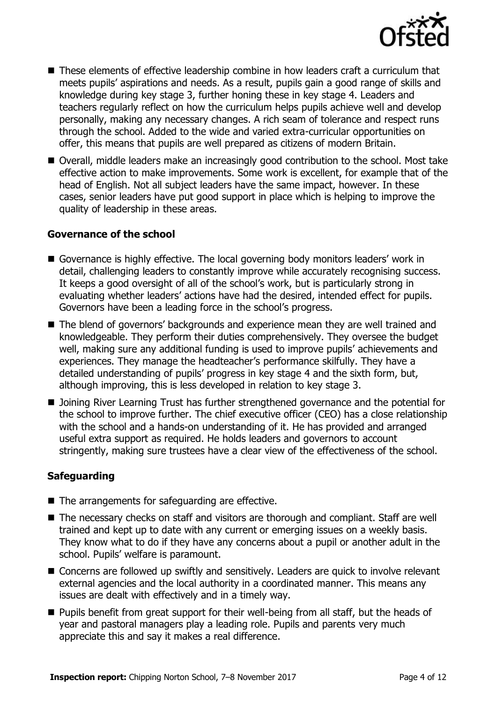

- These elements of effective leadership combine in how leaders craft a curriculum that meets pupils' aspirations and needs. As a result, pupils gain a good range of skills and knowledge during key stage 3, further honing these in key stage 4. Leaders and teachers regularly reflect on how the curriculum helps pupils achieve well and develop personally, making any necessary changes. A rich seam of tolerance and respect runs through the school. Added to the wide and varied extra-curricular opportunities on offer, this means that pupils are well prepared as citizens of modern Britain.
- Overall, middle leaders make an increasingly good contribution to the school. Most take effective action to make improvements. Some work is excellent, for example that of the head of English. Not all subject leaders have the same impact, however. In these cases, senior leaders have put good support in place which is helping to improve the quality of leadership in these areas.

#### **Governance of the school**

- Governance is highly effective. The local governing body monitors leaders' work in detail, challenging leaders to constantly improve while accurately recognising success. It keeps a good oversight of all of the school's work, but is particularly strong in evaluating whether leaders' actions have had the desired, intended effect for pupils. Governors have been a leading force in the school's progress.
- The blend of governors' backgrounds and experience mean they are well trained and knowledgeable. They perform their duties comprehensively. They oversee the budget well, making sure any additional funding is used to improve pupils' achievements and experiences. They manage the headteacher's performance skilfully. They have a detailed understanding of pupils' progress in key stage 4 and the sixth form, but, although improving, this is less developed in relation to key stage 3.
- Joining River Learning Trust has further strengthened governance and the potential for the school to improve further. The chief executive officer (CEO) has a close relationship with the school and a hands-on understanding of it. He has provided and arranged useful extra support as required. He holds leaders and governors to account stringently, making sure trustees have a clear view of the effectiveness of the school.

### **Safeguarding**

- The arrangements for safeguarding are effective.
- The necessary checks on staff and visitors are thorough and compliant. Staff are well trained and kept up to date with any current or emerging issues on a weekly basis. They know what to do if they have any concerns about a pupil or another adult in the school. Pupils' welfare is paramount.
- Concerns are followed up swiftly and sensitively. Leaders are quick to involve relevant external agencies and the local authority in a coordinated manner. This means any issues are dealt with effectively and in a timely way.
- **Pupils benefit from great support for their well-being from all staff, but the heads of** year and pastoral managers play a leading role. Pupils and parents very much appreciate this and say it makes a real difference.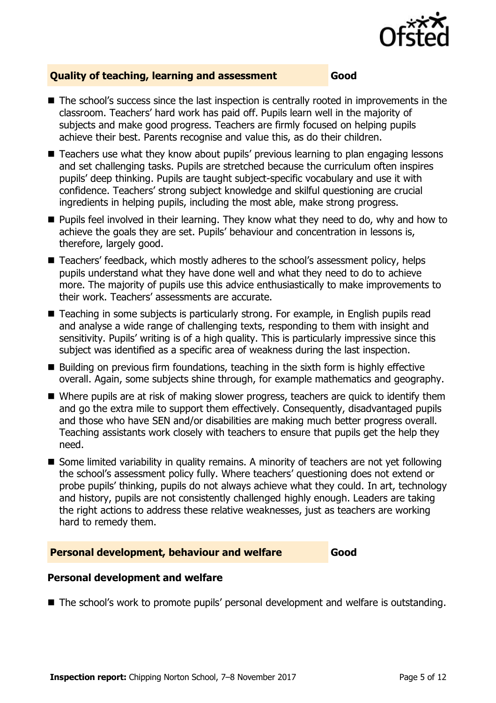

#### **Quality of teaching, learning and assessment Good**

- The school's success since the last inspection is centrally rooted in improvements in the classroom. Teachers' hard work has paid off. Pupils learn well in the majority of subjects and make good progress. Teachers are firmly focused on helping pupils achieve their best. Parents recognise and value this, as do their children.
- Teachers use what they know about pupils' previous learning to plan engaging lessons and set challenging tasks. Pupils are stretched because the curriculum often inspires pupils' deep thinking. Pupils are taught subject-specific vocabulary and use it with confidence. Teachers' strong subject knowledge and skilful questioning are crucial ingredients in helping pupils, including the most able, make strong progress.
- **Pupils feel involved in their learning. They know what they need to do, why and how to** achieve the goals they are set. Pupils' behaviour and concentration in lessons is, therefore, largely good.
- Teachers' feedback, which mostly adheres to the school's assessment policy, helps pupils understand what they have done well and what they need to do to achieve more. The majority of pupils use this advice enthusiastically to make improvements to their work. Teachers' assessments are accurate.
- Teaching in some subjects is particularly strong. For example, in English pupils read and analyse a wide range of challenging texts, responding to them with insight and sensitivity. Pupils' writing is of a high quality. This is particularly impressive since this subject was identified as a specific area of weakness during the last inspection.
- Building on previous firm foundations, teaching in the sixth form is highly effective overall. Again, some subjects shine through, for example mathematics and geography.
- Where pupils are at risk of making slower progress, teachers are quick to identify them and go the extra mile to support them effectively. Consequently, disadvantaged pupils and those who have SEN and/or disabilities are making much better progress overall. Teaching assistants work closely with teachers to ensure that pupils get the help they need.
- Some limited variability in quality remains. A minority of teachers are not yet following the school's assessment policy fully. Where teachers' questioning does not extend or probe pupils' thinking, pupils do not always achieve what they could. In art, technology and history, pupils are not consistently challenged highly enough. Leaders are taking the right actions to address these relative weaknesses, just as teachers are working hard to remedy them.

#### **Personal development, behaviour and welfare Cood Good**

#### **Personal development and welfare**

■ The school's work to promote pupils' personal development and welfare is outstanding.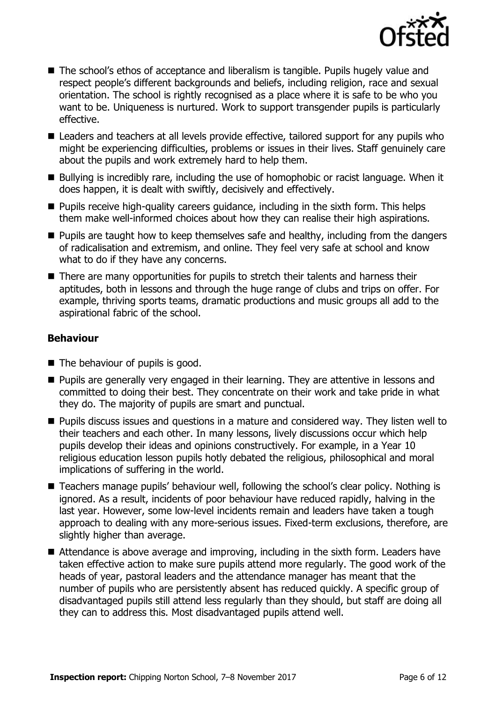

- The school's ethos of acceptance and liberalism is tangible. Pupils hugely value and respect people's different backgrounds and beliefs, including religion, race and sexual orientation. The school is rightly recognised as a place where it is safe to be who you want to be. Uniqueness is nurtured. Work to support transgender pupils is particularly effective.
- Leaders and teachers at all levels provide effective, tailored support for any pupils who might be experiencing difficulties, problems or issues in their lives. Staff genuinely care about the pupils and work extremely hard to help them.
- Bullying is incredibly rare, including the use of homophobic or racist language. When it does happen, it is dealt with swiftly, decisively and effectively.
- $\blacksquare$  Pupils receive high-quality careers guidance, including in the sixth form. This helps them make well-informed choices about how they can realise their high aspirations.
- **Pupils are taught how to keep themselves safe and healthy, including from the dangers** of radicalisation and extremism, and online. They feel very safe at school and know what to do if they have any concerns.
- There are many opportunities for pupils to stretch their talents and harness their aptitudes, both in lessons and through the huge range of clubs and trips on offer. For example, thriving sports teams, dramatic productions and music groups all add to the aspirational fabric of the school.

### **Behaviour**

- $\blacksquare$  The behaviour of pupils is good.
- **Pupils are generally very engaged in their learning. They are attentive in lessons and** committed to doing their best. They concentrate on their work and take pride in what they do. The majority of pupils are smart and punctual.
- Pupils discuss issues and questions in a mature and considered way. They listen well to their teachers and each other. In many lessons, lively discussions occur which help pupils develop their ideas and opinions constructively. For example, in a Year 10 religious education lesson pupils hotly debated the religious, philosophical and moral implications of suffering in the world.
- Teachers manage pupils' behaviour well, following the school's clear policy. Nothing is ignored. As a result, incidents of poor behaviour have reduced rapidly, halving in the last year. However, some low-level incidents remain and leaders have taken a tough approach to dealing with any more-serious issues. Fixed-term exclusions, therefore, are slightly higher than average.
- Attendance is above average and improving, including in the sixth form. Leaders have taken effective action to make sure pupils attend more regularly. The good work of the heads of year, pastoral leaders and the attendance manager has meant that the number of pupils who are persistently absent has reduced quickly. A specific group of disadvantaged pupils still attend less regularly than they should, but staff are doing all they can to address this. Most disadvantaged pupils attend well.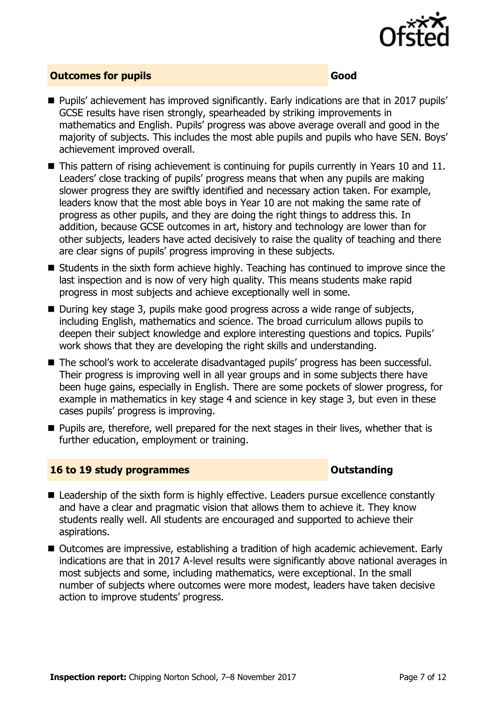

#### **Outcomes for pupils Good and Contract Contract Contract Contract Contract Contract Contract Contract Contract Contract Contract Contract Contract Contract Contract Contract Contract Contract Contract Contract Contract Con**

- Pupils' achievement has improved significantly. Early indications are that in 2017 pupils' GCSE results have risen strongly, spearheaded by striking improvements in mathematics and English. Pupils' progress was above average overall and good in the majority of subjects. This includes the most able pupils and pupils who have SEN. Boys' achievement improved overall.
- This pattern of rising achievement is continuing for pupils currently in Years 10 and 11. Leaders' close tracking of pupils' progress means that when any pupils are making slower progress they are swiftly identified and necessary action taken. For example, leaders know that the most able boys in Year 10 are not making the same rate of progress as other pupils, and they are doing the right things to address this. In addition, because GCSE outcomes in art, history and technology are lower than for other subjects, leaders have acted decisively to raise the quality of teaching and there are clear signs of pupils' progress improving in these subjects.
- Students in the sixth form achieve highly. Teaching has continued to improve since the last inspection and is now of very high quality. This means students make rapid progress in most subjects and achieve exceptionally well in some.
- During key stage 3, pupils make good progress across a wide range of subjects, including English, mathematics and science. The broad curriculum allows pupils to deepen their subject knowledge and explore interesting questions and topics. Pupils' work shows that they are developing the right skills and understanding.
- The school's work to accelerate disadvantaged pupils' progress has been successful. Their progress is improving well in all year groups and in some subjects there have been huge gains, especially in English. There are some pockets of slower progress, for example in mathematics in key stage 4 and science in key stage 3, but even in these cases pupils' progress is improving.
- **Pupils are, therefore, well prepared for the next stages in their lives, whether that is** further education, employment or training.

#### **16 to 19 study programmes Outstanding**

- Leadership of the sixth form is highly effective. Leaders pursue excellence constantly and have a clear and pragmatic vision that allows them to achieve it. They know students really well. All students are encouraged and supported to achieve their aspirations.
- Outcomes are impressive, establishing a tradition of high academic achievement. Early indications are that in 2017 A-level results were significantly above national averages in most subjects and some, including mathematics, were exceptional. In the small number of subjects where outcomes were more modest, leaders have taken decisive action to improve students' progress.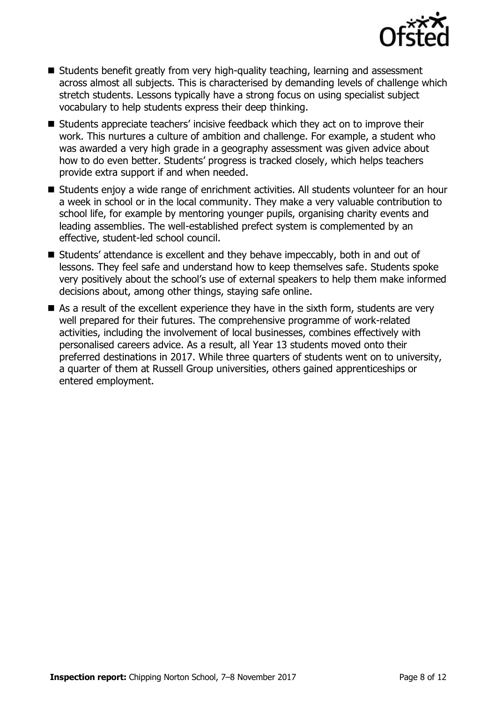

- Students benefit greatly from very high-quality teaching, learning and assessment across almost all subjects. This is characterised by demanding levels of challenge which stretch students. Lessons typically have a strong focus on using specialist subject vocabulary to help students express their deep thinking.
- Students appreciate teachers' incisive feedback which they act on to improve their work. This nurtures a culture of ambition and challenge. For example, a student who was awarded a very high grade in a geography assessment was given advice about how to do even better. Students' progress is tracked closely, which helps teachers provide extra support if and when needed.
- Students enjov a wide range of enrichment activities. All students volunteer for an hour a week in school or in the local community. They make a very valuable contribution to school life, for example by mentoring younger pupils, organising charity events and leading assemblies. The well-established prefect system is complemented by an effective, student-led school council.
- Students' attendance is excellent and they behave impeccably, both in and out of lessons. They feel safe and understand how to keep themselves safe. Students spoke very positively about the school's use of external speakers to help them make informed decisions about, among other things, staying safe online.
- As a result of the excellent experience they have in the sixth form, students are very well prepared for their futures. The comprehensive programme of work-related activities, including the involvement of local businesses, combines effectively with personalised careers advice. As a result, all Year 13 students moved onto their preferred destinations in 2017. While three quarters of students went on to university, a quarter of them at Russell Group universities, others gained apprenticeships or entered employment.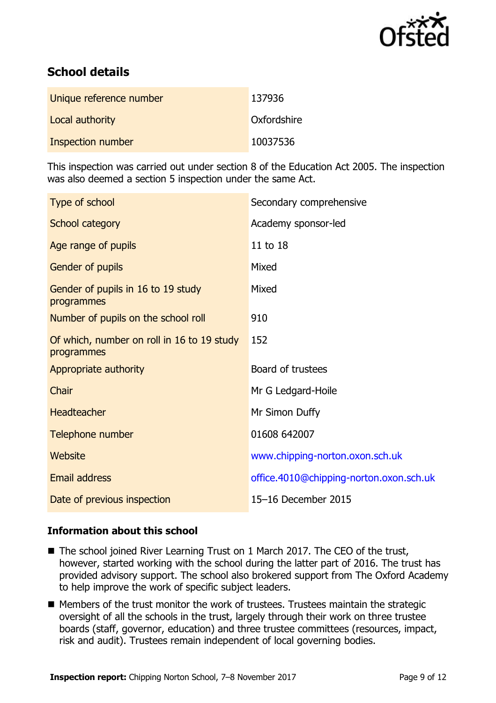

# **School details**

| Unique reference number | 137936      |
|-------------------------|-------------|
| Local authority         | Oxfordshire |
| Inspection number       | 10037536    |

This inspection was carried out under section 8 of the Education Act 2005. The inspection was also deemed a section 5 inspection under the same Act.

| Type of school                                           | Secondary comprehensive                 |
|----------------------------------------------------------|-----------------------------------------|
| School category                                          | Academy sponsor-led                     |
| Age range of pupils                                      | 11 to 18                                |
| Gender of pupils                                         | Mixed                                   |
| Gender of pupils in 16 to 19 study<br>programmes         | Mixed                                   |
| Number of pupils on the school roll                      | 910                                     |
| Of which, number on roll in 16 to 19 study<br>programmes | 152                                     |
| Appropriate authority                                    | Board of trustees                       |
| Chair                                                    | Mr G Ledgard-Hoile                      |
| <b>Headteacher</b>                                       | Mr Simon Duffy                          |
| Telephone number                                         | 01608 642007                            |
| Website                                                  | www.chipping-norton.oxon.sch.uk         |
| <b>Email address</b>                                     | office.4010@chipping-norton.oxon.sch.uk |
| Date of previous inspection                              | 15-16 December 2015                     |

### **Information about this school**

- The school joined River Learning Trust on 1 March 2017. The CEO of the trust, however, started working with the school during the latter part of 2016. The trust has provided advisory support. The school also brokered support from The Oxford Academy to help improve the work of specific subject leaders.
- Members of the trust monitor the work of trustees. Trustees maintain the strategic oversight of all the schools in the trust, largely through their work on three trustee boards (staff, governor, education) and three trustee committees (resources, impact, risk and audit). Trustees remain independent of local governing bodies.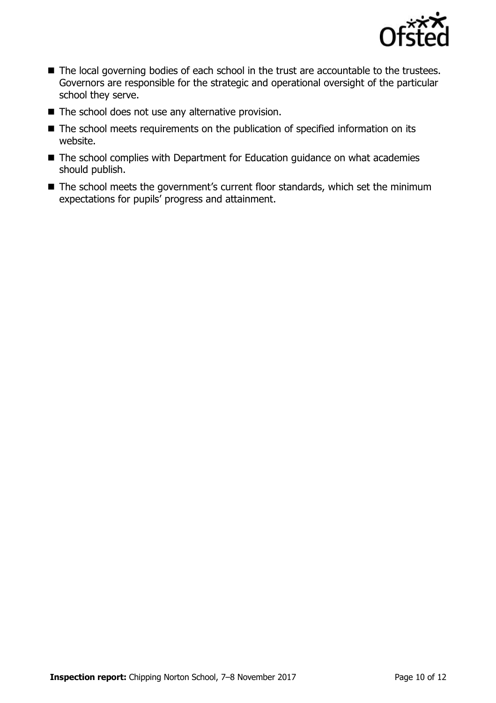

- The local governing bodies of each school in the trust are accountable to the trustees. Governors are responsible for the strategic and operational oversight of the particular school they serve.
- $\blacksquare$  The school does not use any alternative provision.
- The school meets requirements on the publication of specified information on its website.
- The school complies with Department for Education guidance on what academies should publish.
- The school meets the government's current floor standards, which set the minimum expectations for pupils' progress and attainment.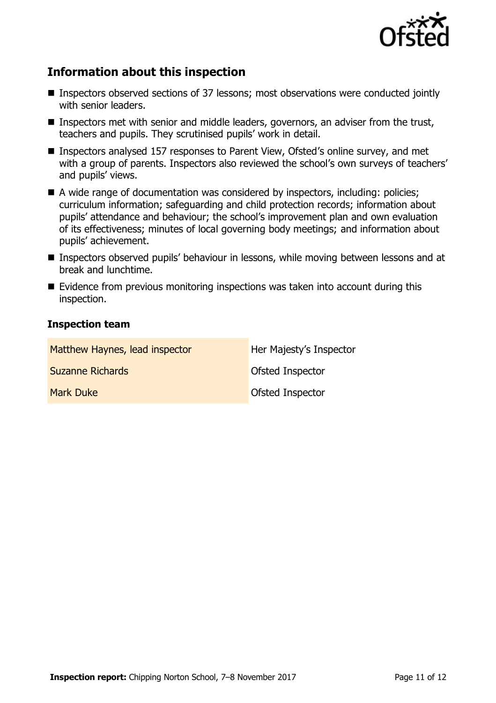

# **Information about this inspection**

- Inspectors observed sections of 37 lessons; most observations were conducted jointly with senior leaders.
- **Inspectors met with senior and middle leaders, governors, an adviser from the trust,** teachers and pupils. They scrutinised pupils' work in detail.
- Inspectors analysed 157 responses to Parent View, Ofsted's online survey, and met with a group of parents. Inspectors also reviewed the school's own surveys of teachers' and pupils' views.
- A wide range of documentation was considered by inspectors, including: policies; curriculum information; safeguarding and child protection records; information about pupils' attendance and behaviour; the school's improvement plan and own evaluation of its effectiveness; minutes of local governing body meetings; and information about pupils' achievement.
- Inspectors observed pupils' behaviour in lessons, while moving between lessons and at break and lunchtime.
- $\blacksquare$  Evidence from previous monitoring inspections was taken into account during this inspection.

#### **Inspection team**

| Matthew Haynes, lead inspector | Her Majesty's Inspector |
|--------------------------------|-------------------------|
| <b>Suzanne Richards</b>        | Ofsted Inspector        |
| <b>Mark Duke</b>               | Ofsted Inspector        |